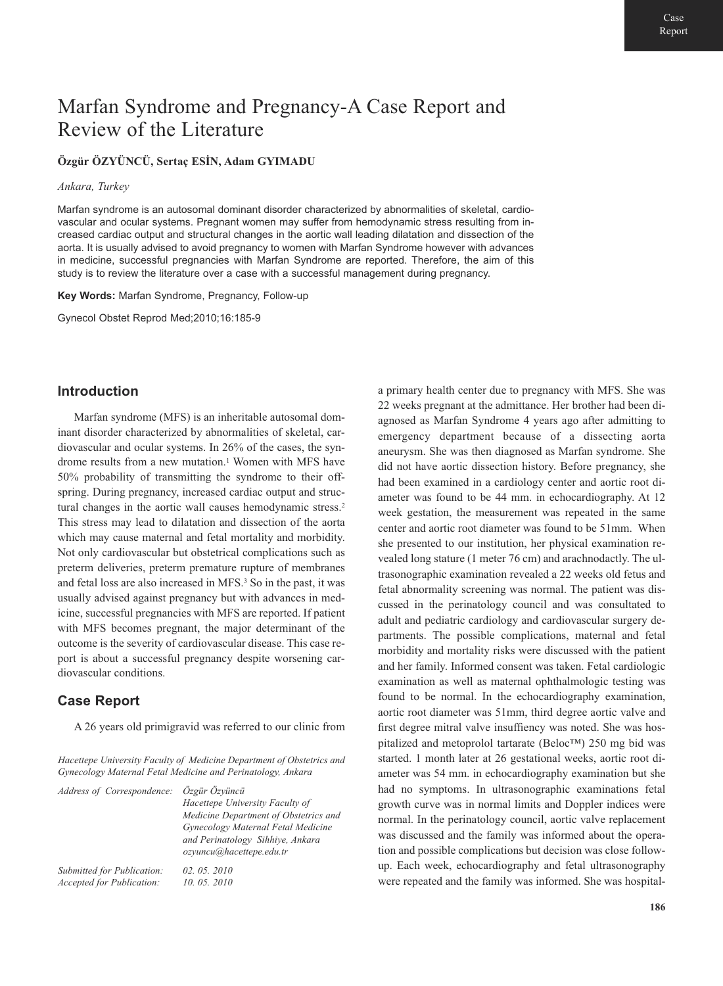# Marfan Syndrome and Pregnancy-A Case Report and Review of the Literature

## **Özgür ÖZYÜNCÜ, Sertaç ESİN, Adam GYIMADU**

#### *Ankara, Turkey*

Marfan syndrome is an autosomal dominant disorder characterized by abnormalities of skeletal, cardiovascular and ocular systems. Pregnant women may suffer from hemodynamic stress resulting from increased cardiac output and structural changes in the aortic wall leading dilatation and dissection of the aorta. It is usually advised to avoid pregnancy to women with Marfan Syndrome however with advances in medicine, successful pregnancies with Marfan Syndrome are reported. Therefore, the aim of this study is to review the literature over a case with a successful management during pregnancy.

**Key Words:** Marfan Syndrome, Pregnancy, Follow-up

Gynecol Obstet Reprod Med;2010;16:185-9

### **Introduction**

Marfan syndrome (MFS) is an inheritable autosomal dominant disorder characterized by abnormalities of skeletal, cardiovascular and ocular systems. In 26% of the cases, the syndrome results from a new mutation.<sup>1</sup> Women with MFS have 50% probability of transmitting the syndrome to their offspring. During pregnancy, increased cardiac output and structural changes in the aortic wall causes hemodynamic stress.2 This stress may lead to dilatation and dissection of the aorta which may cause maternal and fetal mortality and morbidity. Not only cardiovascular but obstetrical complications such as preterm deliveries, preterm premature rupture of membranes and fetal loss are also increased in MFS.3 So in the past, it was usually advised against pregnancy but with advances in medicine, successful pregnancies with MFS are reported. If patient with MFS becomes pregnant, the major determinant of the outcome is the severity of cardiovascular disease. This case report is about a successful pregnancy despite worsening cardiovascular conditions.

## **Case Report**

A 26 years old primigravid was referred to our clinic from

*Hacettepe University Faculty of Medicine Department of Obstetrics and Gynecology Maternal Fetal Medicine and Perinatology, Ankara* 

| Address of Correspondence: | Özgür Özvüncü<br>Hacettepe University Faculty of<br>Medicine Department of Obstetrics and<br>Gynecology Maternal Fetal Medicine<br>and Perinatology Sihhiye, Ankara<br>ozyuncu@hacettepe.edu.tr |
|----------------------------|-------------------------------------------------------------------------------------------------------------------------------------------------------------------------------------------------|
| Submitted for Publication: | 02.05.2010                                                                                                                                                                                      |
| Accepted for Publication:  | 10, 05, 2010                                                                                                                                                                                    |

a primary health center due to pregnancy with MFS. She was 22 weeks pregnant at the admittance. Her brother had been diagnosed as Marfan Syndrome 4 years ago after admitting to emergency department because of a dissecting aorta aneurysm. She was then diagnosed as Marfan syndrome. She did not have aortic dissection history. Before pregnancy, she had been examined in a cardiology center and aortic root diameter was found to be 44 mm. in echocardiography. At 12 week gestation, the measurement was repeated in the same center and aortic root diameter was found to be 51mm. When she presented to our institution, her physical examination revealed long stature (1 meter 76 cm) and arachnodactly. The ultrasonographic examination revealed a 22 weeks old fetus and fetal abnormality screening was normal. The patient was discussed in the perinatology council and was consultated to adult and pediatric cardiology and cardiovascular surgery departments. The possible complications, maternal and fetal morbidity and mortality risks were discussed with the patient and her family. Informed consent was taken. Fetal cardiologic examination as well as maternal ophthalmologic testing was found to be normal. In the echocardiography examination, aortic root diameter was 51mm, third degree aortic valve and first degree mitral valve insuffiency was noted. She was hospitalized and metoprolol tartarate (Beloc™) 250 mg bid was started. 1 month later at 26 gestational weeks, aortic root diameter was 54 mm. in echocardiography examination but she had no symptoms. In ultrasonographic examinations fetal growth curve was in normal limits and Doppler indices were normal. In the perinatology council, aortic valve replacement was discussed and the family was informed about the operation and possible complications but decision was close followup. Each week, echocardiography and fetal ultrasonography were repeated and the family was informed. She was hospital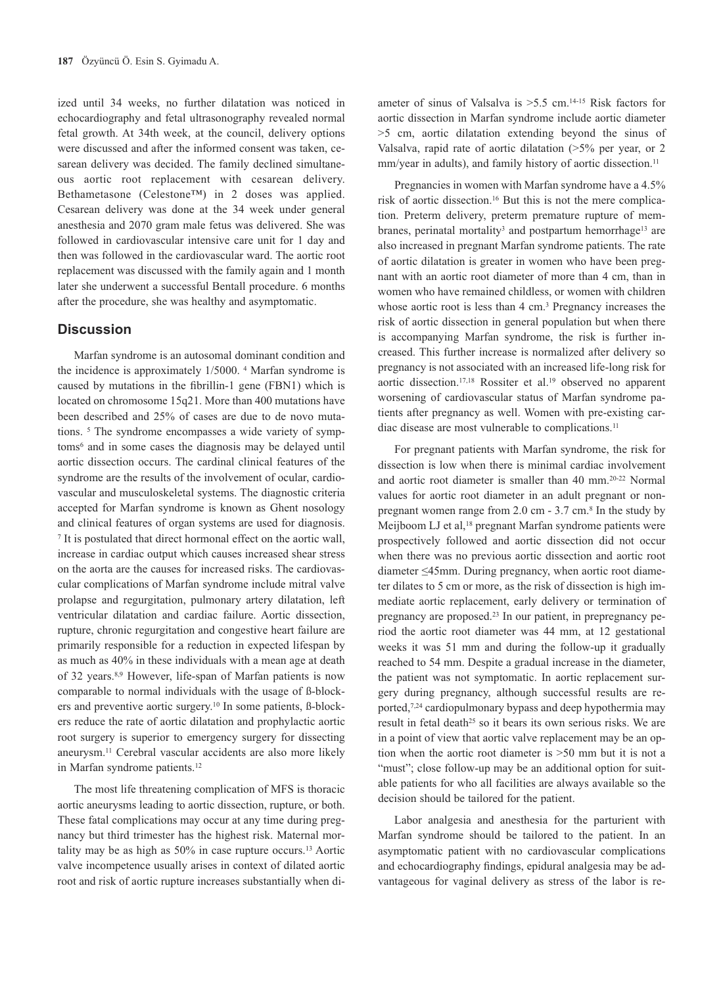ized until 34 weeks, no further dilatation was noticed in echocardiography and fetal ultrasonography revealed normal fetal growth. At 34th week, at the council, delivery options were discussed and after the informed consent was taken, cesarean delivery was decided. The family declined simultaneous aortic root replacement with cesarean delivery. Bethametasone (Celestone™) in 2 doses was applied. Cesarean delivery was done at the 34 week under general anesthesia and 2070 gram male fetus was delivered. She was followed in cardiovascular intensive care unit for 1 day and then was followed in the cardiovascular ward. The aortic root replacement was discussed with the family again and 1 month later she underwent a successful Bentall procedure. 6 months after the procedure, she was healthy and asymptomatic.

#### **Discussion**

Marfan syndrome is an autosomal dominant condition and the incidence is approximately 1/5000. 4 Marfan syndrome is caused by mutations in the fibrillin-1 gene (FBN1) which is located on chromosome 15q21. More than 400 mutations have been described and 25% of cases are due to de novo mutations. 5 The syndrome encompasses a wide variety of symptoms6 and in some cases the diagnosis may be delayed until aortic dissection occurs. The cardinal clinical features of the syndrome are the results of the involvement of ocular, cardiovascular and musculoskeletal systems. The diagnostic criteria accepted for Marfan syndrome is known as Ghent nosology and clinical features of organ systems are used for diagnosis. <sup>7</sup> It is postulated that direct hormonal effect on the aortic wall, increase in cardiac output which causes increased shear stress on the aorta are the causes for increased risks. The cardiovascular complications of Marfan syndrome include mitral valve prolapse and regurgitation, pulmonary artery dilatation, left ventricular dilatation and cardiac failure. Aortic dissection, rupture, chronic regurgitation and congestive heart failure are primarily responsible for a reduction in expected lifespan by as much as 40% in these individuals with a mean age at death of 32 years.8,9 However, life-span of Marfan patients is now comparable to normal individuals with the usage of ß-blockers and preventive aortic surgery.10 In some patients, ß-blockers reduce the rate of aortic dilatation and prophylactic aortic root surgery is superior to emergency surgery for dissecting aneurysm.11 Cerebral vascular accidents are also more likely in Marfan syndrome patients.12

The most life threatening complication of MFS is thoracic aortic aneurysms leading to aortic dissection, rupture, or both. These fatal complications may occur at any time during pregnancy but third trimester has the highest risk. Maternal mortality may be as high as 50% in case rupture occurs.13 Aortic valve incompetence usually arises in context of dilated aortic root and risk of aortic rupture increases substantially when di-

ameter of sinus of Valsalva is >5.5 cm.14-15 Risk factors for aortic dissection in Marfan syndrome include aortic diameter >5 cm, aortic dilatation extending beyond the sinus of Valsalva, rapid rate of aortic dilatation (>5% per year, or 2 mm/year in adults), and family history of aortic dissection.<sup>11</sup>

Pregnancies in women with Marfan syndrome have a 4.5% risk of aortic dissection.16 But this is not the mere complication. Preterm delivery, preterm premature rupture of membranes, perinatal mortality<sup>3</sup> and postpartum hemorrhage<sup>13</sup> are also increased in pregnant Marfan syndrome patients. The rate of aortic dilatation is greater in women who have been pregnant with an aortic root diameter of more than 4 cm, than in women who have remained childless, or women with children whose aortic root is less than 4 cm.<sup>3</sup> Pregnancy increases the risk of aortic dissection in general population but when there is accompanying Marfan syndrome, the risk is further increased. This further increase is normalized after delivery so pregnancy is not associated with an increased life-long risk for aortic dissection.17,18 Rossiter et al.19 observed no apparent worsening of cardiovascular status of Marfan syndrome patients after pregnancy as well. Women with pre-existing cardiac disease are most vulnerable to complications.<sup>11</sup>

For pregnant patients with Marfan syndrome, the risk for dissection is low when there is minimal cardiac involvement and aortic root diameter is smaller than 40 mm.20-22 Normal values for aortic root diameter in an adult pregnant or nonpregnant women range from 2.0 cm - 3.7 cm.8 In the study by Meijboom LJ et al,<sup>18</sup> pregnant Marfan syndrome patients were prospectively followed and aortic dissection did not occur when there was no previous aortic dissection and aortic root diameter ≤45mm. During pregnancy, when aortic root diameter dilates to 5 cm or more, as the risk of dissection is high immediate aortic replacement, early delivery or termination of pregnancy are proposed.23 In our patient, in prepregnancy period the aortic root diameter was 44 mm, at 12 gestational weeks it was 51 mm and during the follow-up it gradually reached to 54 mm. Despite a gradual increase in the diameter, the patient was not symptomatic. In aortic replacement surgery during pregnancy, although successful results are reported,7,24 cardiopulmonary bypass and deep hypothermia may result in fetal death<sup>25</sup> so it bears its own serious risks. We are in a point of view that aortic valve replacement may be an option when the aortic root diameter is >50 mm but it is not a "must"; close follow-up may be an additional option for suitable patients for who all facilities are always available so the decision should be tailored for the patient.

Labor analgesia and anesthesia for the parturient with Marfan syndrome should be tailored to the patient. In an asymptomatic patient with no cardiovascular complications and echocardiography findings, epidural analgesia may be advantageous for vaginal delivery as stress of the labor is re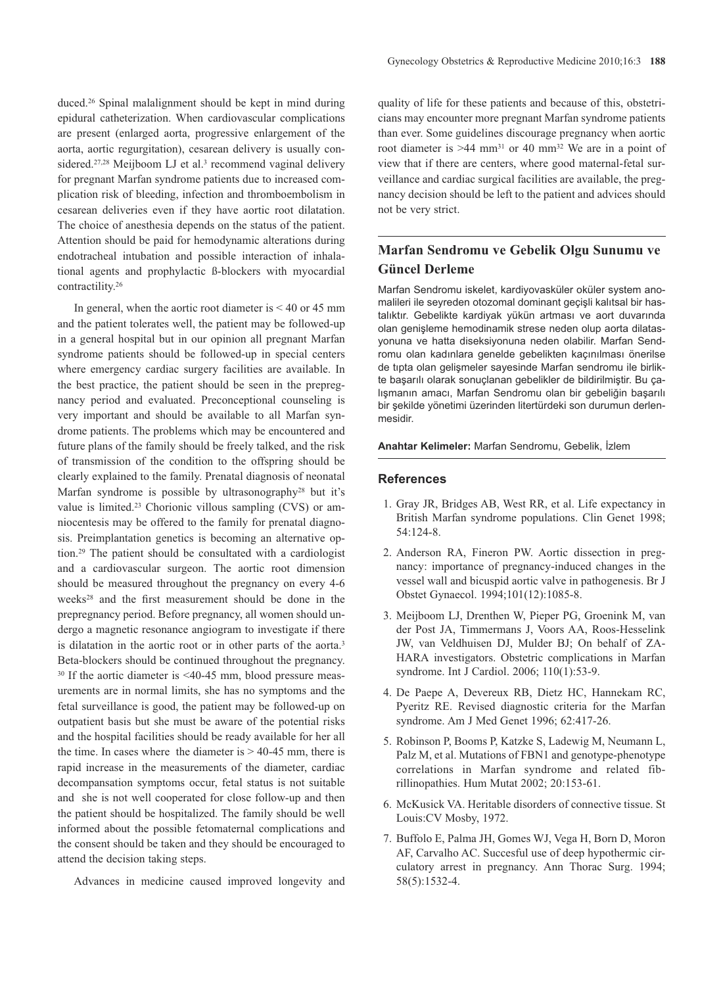duced.26 Spinal malalignment should be kept in mind during epidural catheterization. When cardiovascular complications are present (enlarged aorta, progressive enlargement of the aorta, aortic regurgitation), cesarean delivery is usually considered.<sup>27,28</sup> Meijboom LJ et al.<sup>3</sup> recommend vaginal delivery for pregnant Marfan syndrome patients due to increased complication risk of bleeding, infection and thromboembolism in cesarean deliveries even if they have aortic root dilatation. The choice of anesthesia depends on the status of the patient. Attention should be paid for hemodynamic alterations during endotracheal intubation and possible interaction of inhalational agents and prophylactic ß-blockers with myocardial contractility.26

In general, when the aortic root diameter is  $\leq 40$  or 45 mm and the patient tolerates well, the patient may be followed-up in a general hospital but in our opinion all pregnant Marfan syndrome patients should be followed-up in special centers where emergency cardiac surgery facilities are available. In the best practice, the patient should be seen in the prepregnancy period and evaluated. Preconceptional counseling is very important and should be available to all Marfan syndrome patients. The problems which may be encountered and future plans of the family should be freely talked, and the risk of transmission of the condition to the offspring should be clearly explained to the family. Prenatal diagnosis of neonatal Marfan syndrome is possible by ultrasonography28 but it's value is limited.23 Chorionic villous sampling (CVS) or amniocentesis may be offered to the family for prenatal diagnosis. Preimplantation genetics is becoming an alternative option.29 The patient should be consultated with a cardiologist and a cardiovascular surgeon. The aortic root dimension should be measured throughout the pregnancy on every 4-6 weeks28 and the first measurement should be done in the prepregnancy period. Before pregnancy, all women should undergo a magnetic resonance angiogram to investigate if there is dilatation in the aortic root or in other parts of the aorta.3 Beta-blockers should be continued throughout the pregnancy. <sup>30</sup> If the aortic diameter is <40-45 mm, blood pressure measurements are in normal limits, she has no symptoms and the fetal surveillance is good, the patient may be followed-up on outpatient basis but she must be aware of the potential risks and the hospital facilities should be ready available for her all the time. In cases where the diameter is  $> 40-45$  mm, there is rapid increase in the measurements of the diameter, cardiac decompansation symptoms occur, fetal status is not suitable and she is not well cooperated for close follow-up and then the patient should be hospitalized. The family should be well informed about the possible fetomaternal complications and the consent should be taken and they should be encouraged to attend the decision taking steps.

Advances in medicine caused improved longevity and

quality of life for these patients and because of this, obstetricians may encounter more pregnant Marfan syndrome patients than ever. Some guidelines discourage pregnancy when aortic root diameter is  $>44$  mm<sup>31</sup> or 40 mm<sup>32</sup> We are in a point of view that if there are centers, where good maternal-fetal surveillance and cardiac surgical facilities are available, the pregnancy decision should be left to the patient and advices should not be very strict.

# **Marfan Sendromu ve Gebelik Olgu Sunumu ve Güncel Derleme**

Marfan Sendromu iskelet, kardiyovasküler oküler system anomalileri ile seyreden otozomal dominant geçişli kalıtsal bir hastalıktır. Gebelikte kardiyak yükün artması ve aort duvarında olan genişleme hemodinamik strese neden olup aorta dilatasyonuna ve hatta diseksiyonuna neden olabilir. Marfan Sendromu olan kadınlara genelde gebelikten kaçınılması önerilse de tıpta olan gelişmeler sayesinde Marfan sendromu ile birlikte başarılı olarak sonuçlanan gebelikler de bildirilmiştir. Bu çalışmanın amacı, Marfan Sendromu olan bir gebeliğin başarılı bir şekilde yönetimi üzerinden litertürdeki son durumun derlenmesidir.

**Anahtar Kelimeler:** Marfan Sendromu, Gebelik, İzlem

#### **References**

- 1. Gray JR, Bridges AB, West RR, et al. Life expectancy in British Marfan syndrome populations. Clin Genet 1998; 54:124-8.
- 2. Anderson RA, Fineron PW. Aortic dissection in pregnancy: importance of pregnancy-induced changes in the vessel wall and bicuspid aortic valve in pathogenesis. Br J Obstet Gynaecol. 1994;101(12):1085-8.
- 3. Meijboom LJ, Drenthen W, Pieper PG, Groenink M, van der Post JA, Timmermans J, Voors AA, Roos-Hesselink JW, van Veldhuisen DJ, Mulder BJ; On behalf of ZA-HARA investigators. Obstetric complications in Marfan syndrome. Int J Cardiol. 2006; 110(1):53-9.
- 4. De Paepe A, Devereux RB, Dietz HC, Hannekam RC, Pyeritz RE. Revised diagnostic criteria for the Marfan syndrome. Am J Med Genet 1996; 62:417-26.
- 5. Robinson P, Booms P, Katzke S, Ladewig M, Neumann L, Palz M, et al. Mutations of FBN1 and genotype-phenotype correlations in Marfan syndrome and related fibrillinopathies. Hum Mutat 2002; 20:153-61.
- 6. McKusick VA. Heritable disorders of connective tissue. St Louis:CV Mosby, 1972.
- 7. Buffolo E, Palma JH, Gomes WJ, Vega H, Born D, Moron AF, Carvalho AC. Succesful use of deep hypothermic circulatory arrest in pregnancy. Ann Thorac Surg. 1994; 58(5):1532-4.